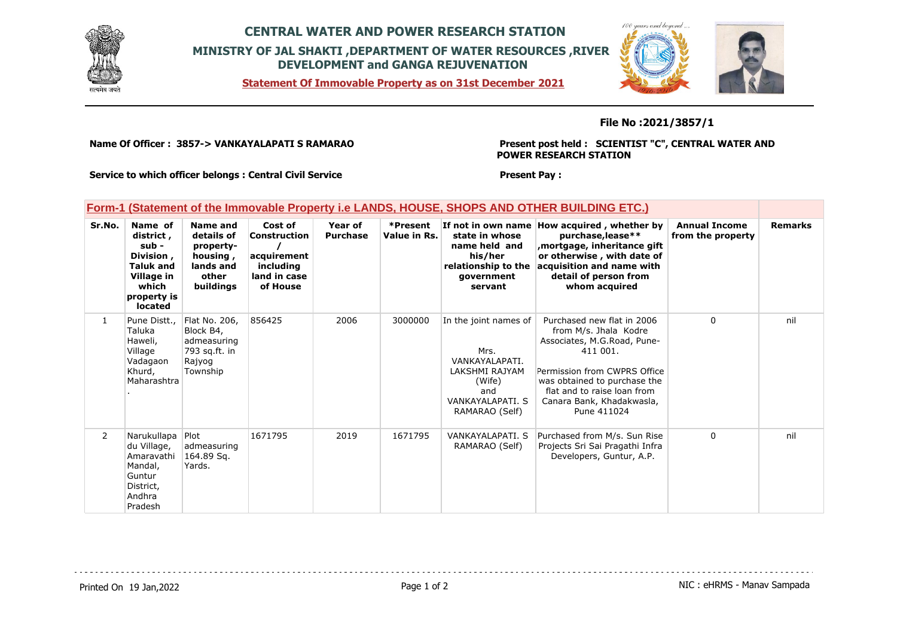

## **CENTRAL WATER AND POWER RESEARCH STATION MINISTRY OF JAL SHAKTI ,DEPARTMENT OF WATER RESOURCES ,RIVER DEVELOPMENT and GANGA REJUVENATION**

**Statement Of Immovable Property as on 31st December 2021**



### **File No :2021/3857/1**

**Name Of Officer : 3857-> VANKAYALAPATI S RAMARAO** 

**Present post held : SCIENTIST "C", CENTRAL WATER AND POWER RESEARCH STATION**

**Service to which officer belongs : Central Civil Service**

#### **Present Pay :**

### **Form-1 (Statement of the Immovable Property i.e LANDS, HOUSE, SHOPS AND OTHER BUILDING ETC.)**

| Sr.No.         | Name of<br>district,<br>sub -<br>Division,<br><b>Taluk and</b><br>Village in<br>which<br>property is<br>located | Name and<br>details of<br>property-<br>housing,<br>lands and<br>other<br>buildings | Cost of<br>Construction<br>acquirement<br>including<br>land in case<br>of House | Year of<br><b>Purchase</b> | *Present<br>Value in Rs. | If not in own name<br>state in whose<br>name held and<br>his/her<br>relationship to the<br>government<br>servant         | How acquired, whether by<br>purchase, lease**<br>mortgage, inheritance gift,<br>or otherwise, with date of<br>acquisition and name with<br>detail of person from<br>whom acquired                                                         | <b>Annual Income</b><br>from the property | <b>Remarks</b> |
|----------------|-----------------------------------------------------------------------------------------------------------------|------------------------------------------------------------------------------------|---------------------------------------------------------------------------------|----------------------------|--------------------------|--------------------------------------------------------------------------------------------------------------------------|-------------------------------------------------------------------------------------------------------------------------------------------------------------------------------------------------------------------------------------------|-------------------------------------------|----------------|
| $\mathbf{1}$   | Pune Distt.,<br>Taluka<br>Haweli,<br>Village<br>Vadagaon<br>Khurd,<br>Maharashtra                               | Flat No. 206,<br>Block B4,<br>admeasuring<br>793 sq.ft. in<br>Rajyog<br>Township   | 856425                                                                          | 2006                       | 3000000                  | In the joint names of<br>Mrs.<br>VANKAYALAPATI.<br>LAKSHMI RAJYAM<br>(Wife)<br>and<br>VANKAYALAPATI, S<br>RAMARAO (Self) | Purchased new flat in 2006<br>from M/s. Jhala Kodre<br>Associates, M.G.Road, Pune-<br>411 001.<br>Permission from CWPRS Office<br>was obtained to purchase the<br>flat and to raise loan from<br>Canara Bank, Khadakwasla,<br>Pune 411024 | $\Omega$                                  | nil            |
| $\overline{2}$ | Narukullapa Plot<br>du Village,<br>Amaravathi<br>Mandal,<br>Guntur<br>District,<br>Andhra<br>Pradesh            | admeasuring<br>164.89 Sq.<br>Yards.                                                | 1671795                                                                         | 2019                       | 1671795                  | VANKAYALAPATI, S<br>RAMARAO (Self)                                                                                       | Purchased from M/s. Sun Rise<br>Projects Sri Sai Pragathi Infra<br>Developers, Guntur, A.P.                                                                                                                                               | $\Omega$                                  | nil            |

Printed On 19 Jan, 2022 **Page 1 of 2** Page 1 of 2 **Page 1 of 2** NIC : eHRMS - Manav Sampada